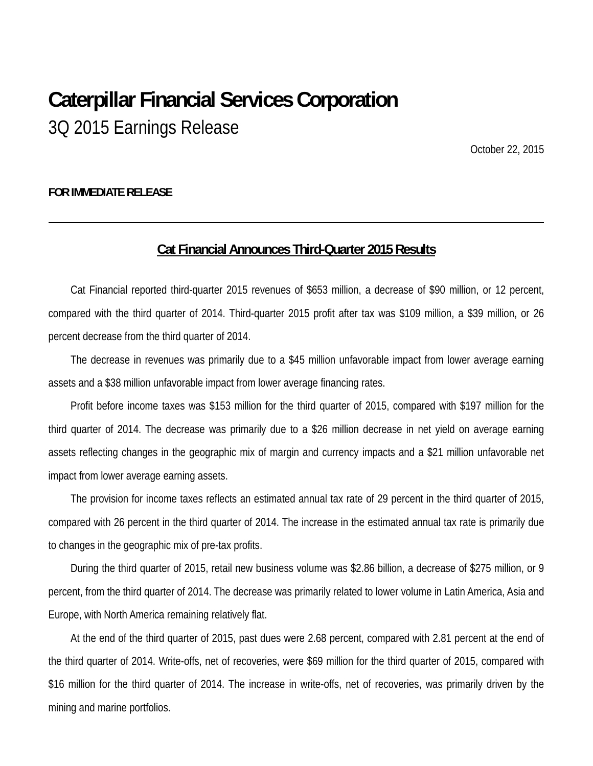# **Caterpillar Financial Services Corporation** 3Q 2015 Earnings Release

October 22, 2015

#### **FOR IMMEDIATE RELEASE**

#### **Cat Financial Announces Third-Quarter 2015 Results**

Cat Financial reported third-quarter 2015 revenues of \$653 million, a decrease of \$90 million, or 12 percent, compared with the third quarter of 2014. Third-quarter 2015 profit after tax was \$109 million, a \$39 million, or 26 percent decrease from the third quarter of 2014.

The decrease in revenues was primarily due to a \$45 million unfavorable impact from lower average earning assets and a \$38 million unfavorable impact from lower average financing rates.

Profit before income taxes was \$153 million for the third quarter of 2015, compared with \$197 million for the third quarter of 2014. The decrease was primarily due to a \$26 million decrease in net yield on average earning assets reflecting changes in the geographic mix of margin and currency impacts and a \$21 million unfavorable net impact from lower average earning assets.

The provision for income taxes reflects an estimated annual tax rate of 29 percent in the third quarter of 2015, compared with 26 percent in the third quarter of 2014. The increase in the estimated annual tax rate is primarily due to changes in the geographic mix of pre-tax profits.

During the third quarter of 2015, retail new business volume was \$2.86 billion, a decrease of \$275 million, or 9 percent, from the third quarter of 2014. The decrease was primarily related to lower volume in Latin America, Asia and Europe, with North America remaining relatively flat.

At the end of the third quarter of 2015, past dues were 2.68 percent, compared with 2.81 percent at the end of the third quarter of 2014. Write-offs, net of recoveries, were \$69 million for the third quarter of 2015, compared with \$16 million for the third quarter of 2014. The increase in write-offs, net of recoveries, was primarily driven by the mining and marine portfolios.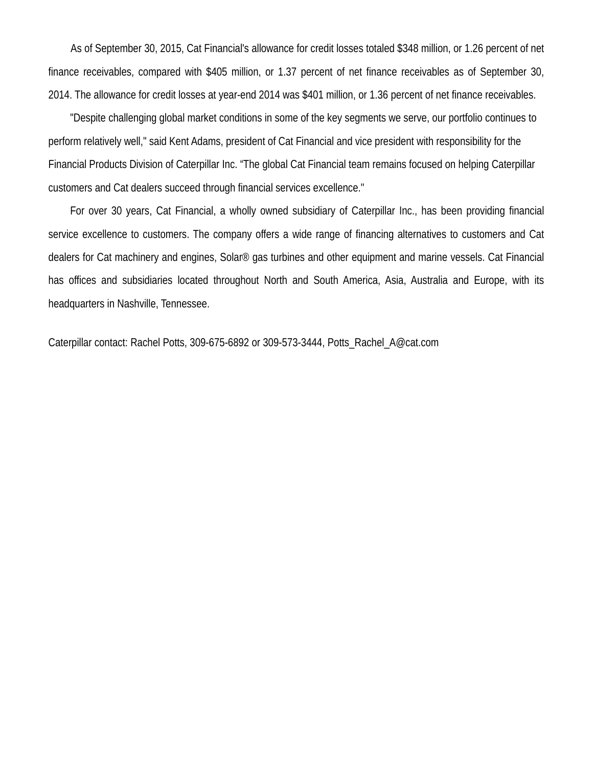As of September 30, 2015, Cat Financial's allowance for credit losses totaled \$348 million, or 1.26 percent of net finance receivables, compared with \$405 million, or 1.37 percent of net finance receivables as of September 30, 2014. The allowance for credit losses at year-end 2014 was \$401 million, or 1.36 percent of net finance receivables.

"Despite challenging global market conditions in some of the key segments we serve, our portfolio continues to perform relatively well," said Kent Adams, president of Cat Financial and vice president with responsibility for the Financial Products Division of Caterpillar Inc. "The global Cat Financial team remains focused on helping Caterpillar customers and Cat dealers succeed through financial services excellence."

For over 30 years, Cat Financial, a wholly owned subsidiary of Caterpillar Inc., has been providing financial service excellence to customers. The company offers a wide range of financing alternatives to customers and Cat dealers for Cat machinery and engines, Solar® gas turbines and other equipment and marine vessels. Cat Financial has offices and subsidiaries located throughout North and South America, Asia, Australia and Europe, with its headquarters in Nashville, Tennessee.

Caterpillar contact: Rachel Potts, 309-675-6892 or 309-573-3444, Potts\_Rachel\_A@cat.com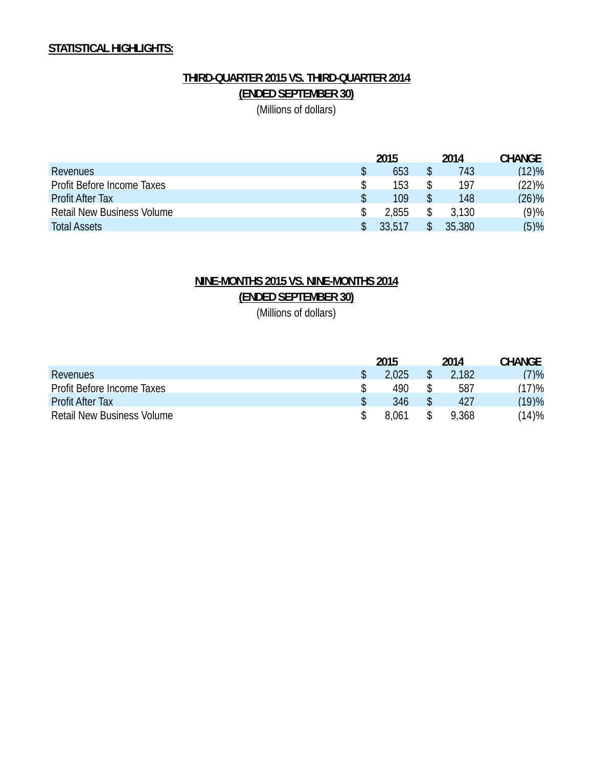## **STATISTICAL HIGHLIGHTS:**

## **THIRD-QUARTER 2015 VS. THIRD-QUARTER 2014 (ENDED SEPTEMBER 30)**

(Millions of dollars)

|                                   | 2015  | 2014   | <b>CHANGE</b> |
|-----------------------------------|-------|--------|---------------|
| Revenues                          | 653   | 743    | (12)%         |
| Profit Before Income Taxes        | 153   | 197    | (22)%         |
| <b>Profit After Tax</b>           | 109   | 148    | (26)%         |
| <b>Retail New Business Volume</b> | 2.855 | 3.130  | (9)%          |
| <b>Total Assets</b>               | 33517 | 35,380 | (5)%          |

## **NINE-MONTHS 2015 VS. NINE-MONTHS 2014 (ENDED SEPTEMBER 30)**

(Millions of dollars)

|                                   | 2015  | 2014  | <b>CHANGE</b> |
|-----------------------------------|-------|-------|---------------|
| Revenues                          | 2.025 | 2.182 | (7)%          |
| Profit Before Income Taxes        | 490   | 587   | (17)%         |
| <b>Profit After Tax</b>           | 346   | 427   | (19)%         |
| <b>Retail New Business Volume</b> | 8.061 | 9.368 | (14)%         |